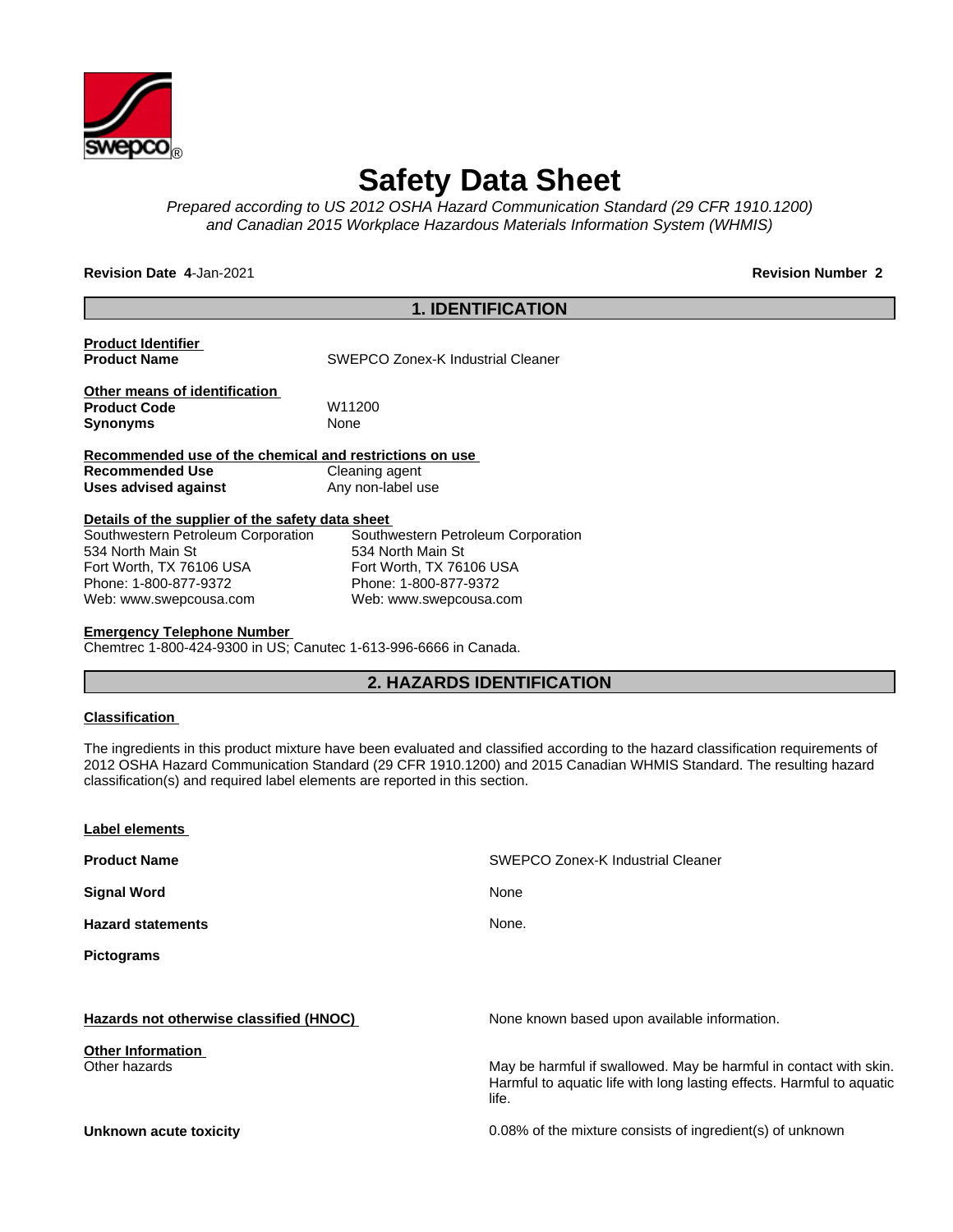

# **Safety Data Sheet**

*Prepared according to US 2012 OSHA Hazard Communication Standard (29 CFR 1910.1200) and Canadian 2015 Workplace Hazardous Materials Information System (WHMIS)*

**Revision Date 4**-Jan-2021 **Revision Number 2**

# **1. IDENTIFICATION**

**Product Identifier** 

**SWEPCO Zonex-K Industrial Cleaner** 

**Other means of identification Product Code** W11200 **Synonyms** None

**Recommended use of the chemical and restrictions on use Recommended Use** Cleaning agent

**Uses advised against** Any non-label use

#### **Details of the supplier of the safety data sheet**

| Southwestern Petroleum Corporation | Southwestern Petroleum Corporation |
|------------------------------------|------------------------------------|
| 534 North Main St                  | 534 North Main St                  |
| Fort Worth, TX 76106 USA           | Fort Worth, TX 76106 USA           |
| Phone: 1-800-877-9372              | Phone: 1-800-877-9372              |
| Web: www.swepcousa.com             | Web: www.swepcousa.com             |

#### **Emergency Telephone Number**

Chemtrec 1-800-424-9300 in US; Canutec 1-613-996-6666 in Canada.

# **2. HAZARDS IDENTIFICATION**

#### **Classification**

The ingredients in this product mixture have been evaluated and classified according to the hazard classification requirements of 2012 OSHA Hazard Communication Standard (29 CFR 1910.1200) and 2015 Canadian WHMIS Standard. The resulting hazard classification(s) and required label elements are reported in this section.

| Label elements                            |                                                                                                                                                     |
|-------------------------------------------|-----------------------------------------------------------------------------------------------------------------------------------------------------|
| <b>Product Name</b>                       | SWEPCO Zonex-K Industrial Cleaner                                                                                                                   |
| <b>Signal Word</b>                        | None                                                                                                                                                |
| <b>Hazard statements</b>                  | None.                                                                                                                                               |
| <b>Pictograms</b>                         |                                                                                                                                                     |
|                                           |                                                                                                                                                     |
| Hazards not otherwise classified (HNOC)   | None known based upon available information.                                                                                                        |
| <b>Other Information</b><br>Other hazards | May be harmful if swallowed. May be harmful in contact with skin.<br>Harmful to aquatic life with long lasting effects. Harmful to aquatic<br>life. |
| Unknown acute toxicity                    | 0.08% of the mixture consists of ingredient(s) of unknown                                                                                           |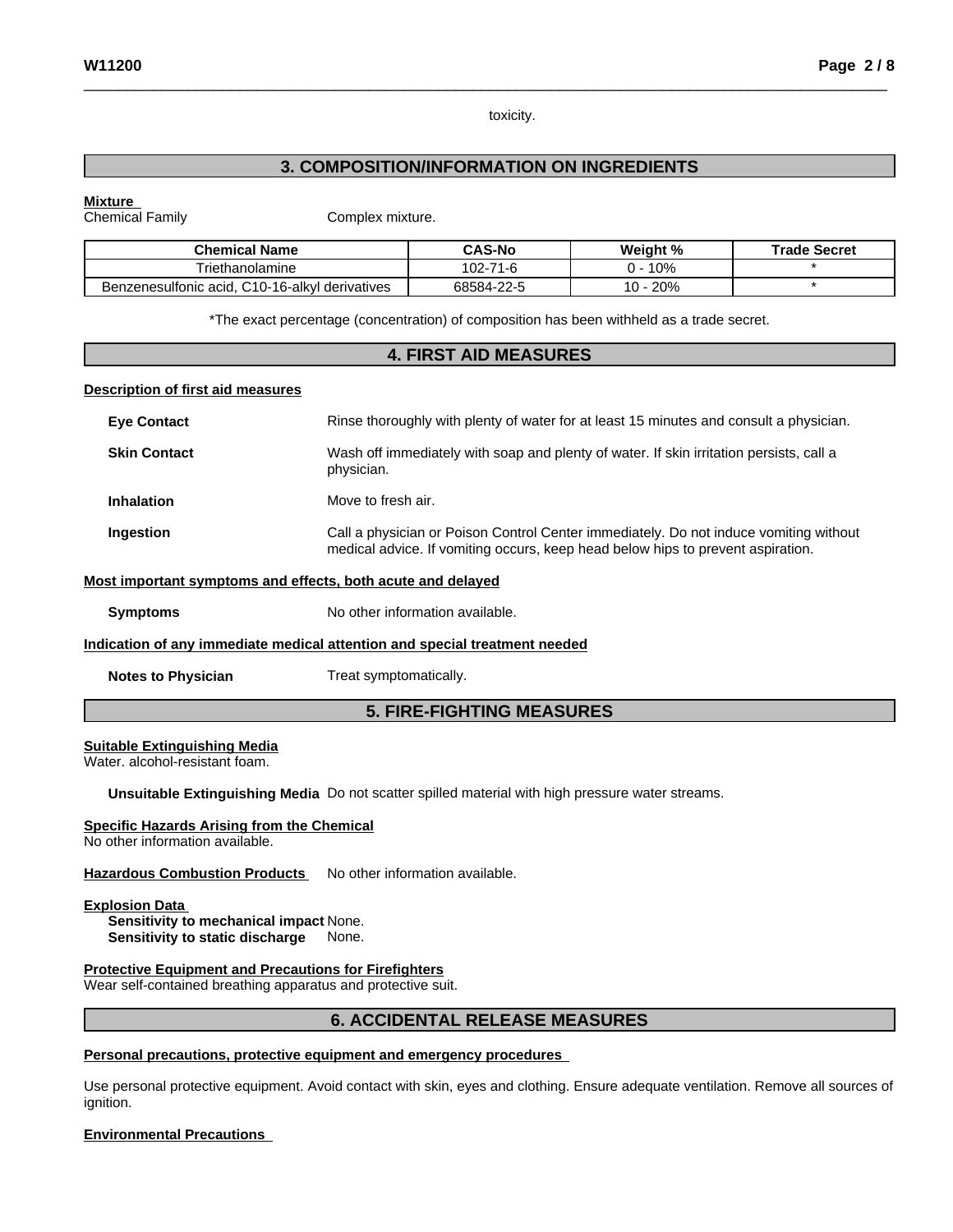toxicity.

# **3. COMPOSITION/INFORMATION ON INGREDIENTS**

**Mixture** 

Chemical Family Complex mixture.

| <b>Chemical Name</b>                           | <b>CAS-No</b> | Weight % | <b>Trade Secret</b> |
|------------------------------------------------|---------------|----------|---------------------|
| Friethanolamine                                | 102-71-6      | 10%      |                     |
| Benzenesulfonic acid, C10-16-alkyl derivatives | 68584-22-5    | 20%      |                     |

\*The exact percentage (concentration) of composition has been withheld as a trade secret.

# **4. FIRST AID MEASURES**

### **Description of first aid measures**

| <b>Eve Contact</b>  | Rinse thoroughly with plenty of water for at least 15 minutes and consult a physician.                                                                                   |
|---------------------|--------------------------------------------------------------------------------------------------------------------------------------------------------------------------|
|                     |                                                                                                                                                                          |
| <b>Skin Contact</b> | Wash off immediately with soap and plenty of water. If skin irritation persists, call a<br>physician.                                                                    |
| <b>Inhalation</b>   | Move to fresh air.                                                                                                                                                       |
| Ingestion           | Call a physician or Poison Control Center immediately. Do not induce vomiting without<br>medical advice. If vomiting occurs, keep head below hips to prevent aspiration. |

#### **Most important symptoms and effects, both acute and delayed**

**Symptoms** No other information available.

#### **Indication of any immediate medical attention and special treatment needed**

**Notes to Physician** Treat symptomatically.

# **5. FIRE-FIGHTING MEASURES**

#### **Suitable Extinguishing Media**

Water. alcohol-resistant foam.

**Unsuitable Extinguishing Media** Do not scatter spilled material with high pressure water streams.

#### **Specific Hazards Arising from the Chemical**

No other information available.

Hazardous Combustion Products No other information available.

#### **Explosion Data**

**Sensitivity to mechanical impact** None. **Sensitivity to static discharge** None.

#### **Protective Equipment and Precautions for Firefighters**

Wear self-contained breathing apparatus and protective suit.

# **6. ACCIDENTAL RELEASE MEASURES**

#### **Personal precautions, protective equipment and emergency procedures**

Use personal protective equipment. Avoid contact with skin, eyes and clothing. Ensure adequate ventilation. Remove all sources of ignition.

#### **Environmental Precautions**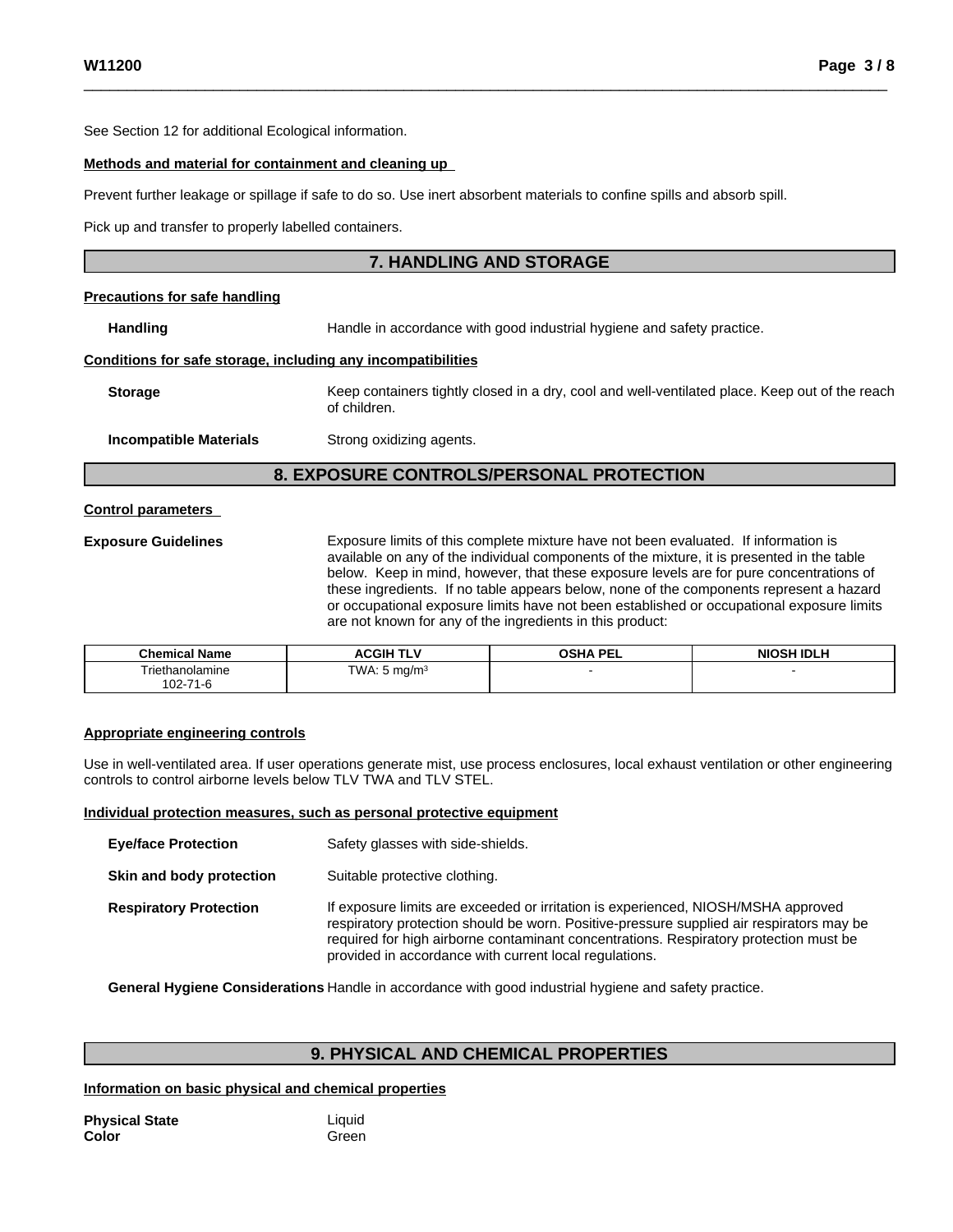See Section 12 for additional Ecological information.

#### **Methods and material for containment and cleaning up**

Prevent further leakage or spillage if safe to do so. Use inert absorbent materials to confine spills and absorb spill.

Pick up and transfer to properly labelled containers.

# **7. HANDLING AND STORAGE**

#### **Precautions for safe handling**

Handling **Handle** in accordance with good industrial hygiene and safety practice.

#### **Conditions for safe storage, including any incompatibilities**

| <b>Storage</b> | Keep containers tightly closed in a dry, cool and well-ventilated place. Keep out of the reach<br>of children. |
|----------------|----------------------------------------------------------------------------------------------------------------|
|                |                                                                                                                |

**Incompatible Materials** Strong oxidizing agents.

# **8. EXPOSURE CONTROLS/PERSONAL PROTECTION**

#### **Control parameters**

**Exposure Guidelines** Exposure limits of this complete mixture have not been evaluated. If information is available on any of the individual components of the mixture, it is presented in the table below. Keep in mind, however, that these exposure levels are for pure concentrations of these ingredients. If no table appears below, none of the components represent a hazard or occupational exposure limits have not been established or occupational exposure limits are not known for any of the ingredients in this product:

| <b>Chemical Name</b>                                        | <b>CGIH TLV</b><br>.               | <b>OSHA PEL</b> | NIOSH IDLY |
|-------------------------------------------------------------|------------------------------------|-----------------|------------|
| Triethanolamine<br>מחו<br>74<br>$\sim$<br>.uz-7<br>- 1 - 10 | TWA.<br>ma/m <sup>3</sup> ر<br>. . |                 |            |

#### **Appropriate engineering controls**

Use in well-ventilated area. If user operations generate mist, use process enclosures, local exhaust ventilation or other engineering controls to control airborne levels below TLV TWA and TLV STEL.

#### **Individual protection measures, such as personal protective equipment**

| <b>Eye/face Protection</b>    | Safety glasses with side-shields.                                                                                                                                                                                                                                                                                                |
|-------------------------------|----------------------------------------------------------------------------------------------------------------------------------------------------------------------------------------------------------------------------------------------------------------------------------------------------------------------------------|
| Skin and body protection      | Suitable protective clothing.                                                                                                                                                                                                                                                                                                    |
| <b>Respiratory Protection</b> | If exposure limits are exceeded or irritation is experienced, NIOSH/MSHA approved<br>respiratory protection should be worn. Positive-pressure supplied air respirators may be<br>required for high airborne contaminant concentrations. Respiratory protection must be<br>provided in accordance with current local regulations. |

**General Hygiene Considerations** Handle in accordance with good industrial hygiene and safety practice.

# **9. PHYSICAL AND CHEMICAL PROPERTIES**

#### **Information on basic physical and chemical properties**

| <b>Physical State</b> | Liquid |
|-----------------------|--------|
| Color                 | Green  |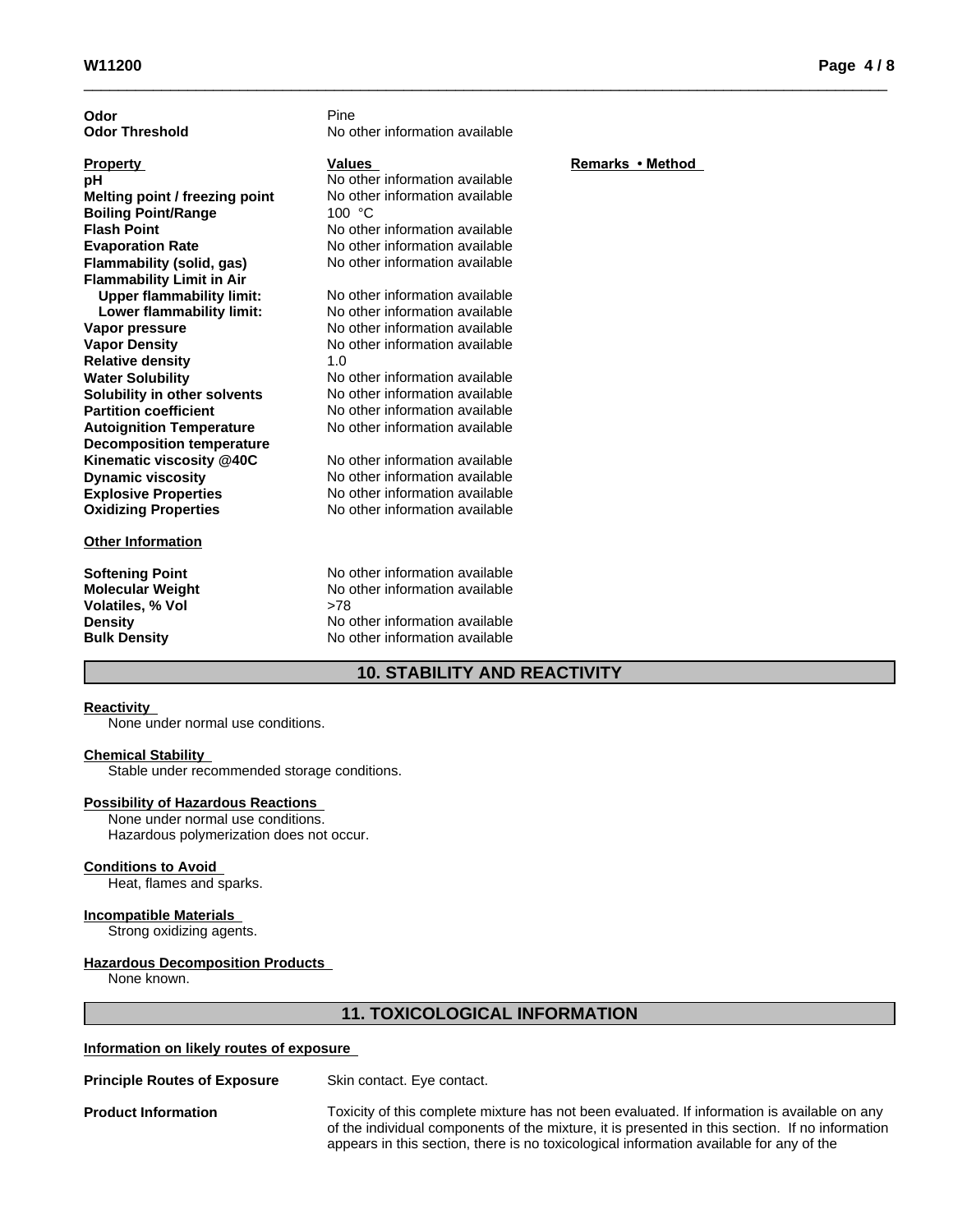| Odor<br><b>Odor Threshold</b>                                                | Pine<br>No other information available                                  |                  |
|------------------------------------------------------------------------------|-------------------------------------------------------------------------|------------------|
| <b>Property</b>                                                              | <b>Values</b>                                                           | Remarks • Method |
| рH                                                                           | No other information available                                          |                  |
| Melting point / freezing point                                               | No other information available                                          |                  |
| <b>Boiling Point/Range</b>                                                   | 100 $°C$                                                                |                  |
| <b>Flash Point</b>                                                           | No other information available                                          |                  |
| <b>Evaporation Rate</b>                                                      | No other information available                                          |                  |
| Flammability (solid, gas)                                                    | No other information available                                          |                  |
| <b>Flammability Limit in Air</b>                                             |                                                                         |                  |
| <b>Upper flammability limit:</b>                                             | No other information available                                          |                  |
| Lower flammability limit:                                                    | No other information available                                          |                  |
| Vapor pressure                                                               | No other information available                                          |                  |
| <b>Vapor Density</b>                                                         | No other information available                                          |                  |
| <b>Relative density</b>                                                      | 1.0                                                                     |                  |
| <b>Water Solubility</b>                                                      | No other information available                                          |                  |
| Solubility in other solvents                                                 | No other information available                                          |                  |
| <b>Partition coefficient</b>                                                 | No other information available                                          |                  |
| <b>Autoignition Temperature</b>                                              | No other information available                                          |                  |
| <b>Decomposition temperature</b>                                             |                                                                         |                  |
| Kinematic viscosity @40C                                                     | No other information available                                          |                  |
| <b>Dynamic viscosity</b>                                                     | No other information available                                          |                  |
| <b>Explosive Properties</b>                                                  | No other information available                                          |                  |
| <b>Oxidizing Properties</b>                                                  | No other information available                                          |                  |
| <b>Other Information</b>                                                     |                                                                         |                  |
| <b>Softening Point</b><br><b>Molecular Weight</b><br><b>Volatiles, % Vol</b> | No other information available<br>No other information available<br>>78 |                  |
| <b>Density</b><br><b>Bulk Density</b>                                        | No other information available<br>No other information available        |                  |

# **10. STABILITY AND REACTIVITY**

#### **Reactivity**

None under normal use conditions.

#### **Chemical Stability**

Stable under recommended storage conditions.

#### **Possibility of Hazardous Reactions**

None under normal use conditions. Hazardous polymerization does not occur.

#### **Conditions to Avoid**

Heat, flames and sparks.

### **Incompatible Materials**

Strong oxidizing agents.

#### **Hazardous Decomposition Products**

None known.

# **11. TOXICOLOGICAL INFORMATION**

#### **Information on likely routes of exposure**

#### **Principle Routes of Exposure** Skin contact. Eye contact.

**Product Information** Toxicity of this complete mixture has not been evaluated. If information is available on any of the individual components of the mixture, it is presented in this section. If no information appears in this section, there is no toxicological information available for any of the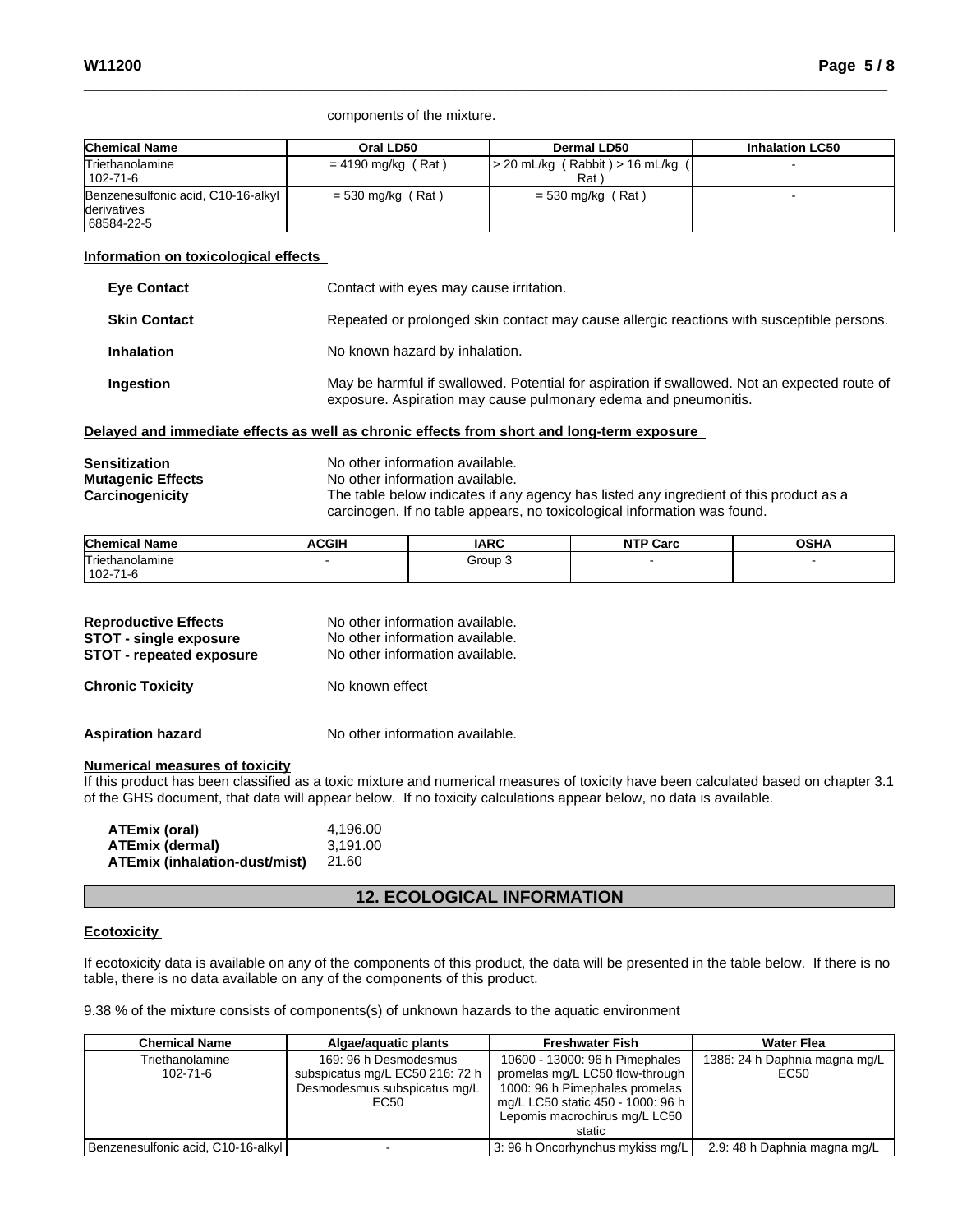components of the mixture.

| Oral LD50                                                   | Dermal LD50                           | <b>Inhalation LC50</b> |
|-------------------------------------------------------------|---------------------------------------|------------------------|
| $= 4190$ mg/kg (Rat)                                        | $\geq$ 20 mL/kg (Rabbit) > 16 mL/kg ( |                        |
|                                                             | Rat                                   |                        |
| Benzenesulfonic acid, C10-16-alkyl  <br>$=$ 530 mg/kg (Rat) | $=$ 530 mg/kg (Rat)                   |                        |
|                                                             |                                       |                        |
|                                                             |                                       |                        |

### **Information on toxicological effects**

| <b>Eye Contact</b>  | Contact with eyes may cause irritation.                                                                                                                         |
|---------------------|-----------------------------------------------------------------------------------------------------------------------------------------------------------------|
| <b>Skin Contact</b> | Repeated or prolonged skin contact may cause allergic reactions with susceptible persons.                                                                       |
| <b>Inhalation</b>   | No known hazard by inhalation.                                                                                                                                  |
| Ingestion           | May be harmful if swallowed. Potential for aspiration if swallowed. Not an expected route of<br>exposure. Aspiration may cause pulmonary edema and pneumonitis. |

#### **Delayed and immediate effects as well as chronic effects from short and long-term exposure**

| <b>Sensitization</b>     | No other information available.                                                        |
|--------------------------|----------------------------------------------------------------------------------------|
| <b>Mutagenic Effects</b> | No other information available.                                                        |
| Carcinogenicity          | The table below indicates if any agency has listed any ingredient of this product as a |
|                          | carcinogen. If no table appears, no toxicological information was found.               |

| <b>Chemical Name</b> | <b>ACGIH</b> | <b>IARC</b> | <b>NTP Carc</b> | <b>OSHA</b> |
|----------------------|--------------|-------------|-----------------|-------------|
| Triethanolamine      |              | Group       |                 |             |
| $102 -$<br>. .<br>л. |              |             |                 |             |

| <b>Reproductive Effects</b><br><b>STOT - single exposure</b><br>STOT - repeated exposure | No other information available.<br>No other information available.<br>No other information available. |
|------------------------------------------------------------------------------------------|-------------------------------------------------------------------------------------------------------|
| <b>Chronic Toxicity</b>                                                                  | No known effect                                                                                       |
| <b>Aspiration hazard</b>                                                                 | No other information available.                                                                       |
| <b>Numerical measures of toxicity</b>                                                    |                                                                                                       |

#### If this product has been classified as a toxic mixture and numerical measures of toxicity have been calculated based on chapter 3.1 of the GHS document, that data will appear below. If no toxicity calculations appear below, no data is available.

| ATEmix (oral)                 | 4.196.00 |
|-------------------------------|----------|
| ATEmix (dermal)               | 3.191.00 |
| ATEmix (inhalation-dust/mist) | 21.60    |

# **12. ECOLOGICAL INFORMATION**

#### **Ecotoxicity**

If ecotoxicity data is available on any of the components of this product, the data will be presented in the table below. If there is no table, there is no data available on any of the components of this product.

9.38 % of the mixture consists of components(s) of unknown hazards to the aquatic environment

| <b>Chemical Name</b>               | Algae/aguatic plants                                                                             | <b>Freshwater Fish</b>                                                                                                                                                                | <b>Water Flea</b>                     |
|------------------------------------|--------------------------------------------------------------------------------------------------|---------------------------------------------------------------------------------------------------------------------------------------------------------------------------------------|---------------------------------------|
| Triethanolamine<br>$102 - 71 - 6$  | 169: 96 h Desmodesmus<br>subspicatus mg/L EC50 216: 72 h<br>Desmodesmus subspicatus mg/L<br>EC50 | 10600 - 13000: 96 h Pimephales<br>promelas mg/L LC50 flow-through  <br>1000: 96 h Pimephales promelas<br>mg/L LC50 static 450 - 1000: 96 h<br>Lepomis macrochirus mg/L LC50<br>static | 1386: 24 h Daphnia magna mg/L<br>EC50 |
| Benzenesulfonic acid, C10-16-alkyl |                                                                                                  | 3:96 h Oncorhynchus mykiss mg/L                                                                                                                                                       | 2.9: 48 h Daphnia magna mg/L          |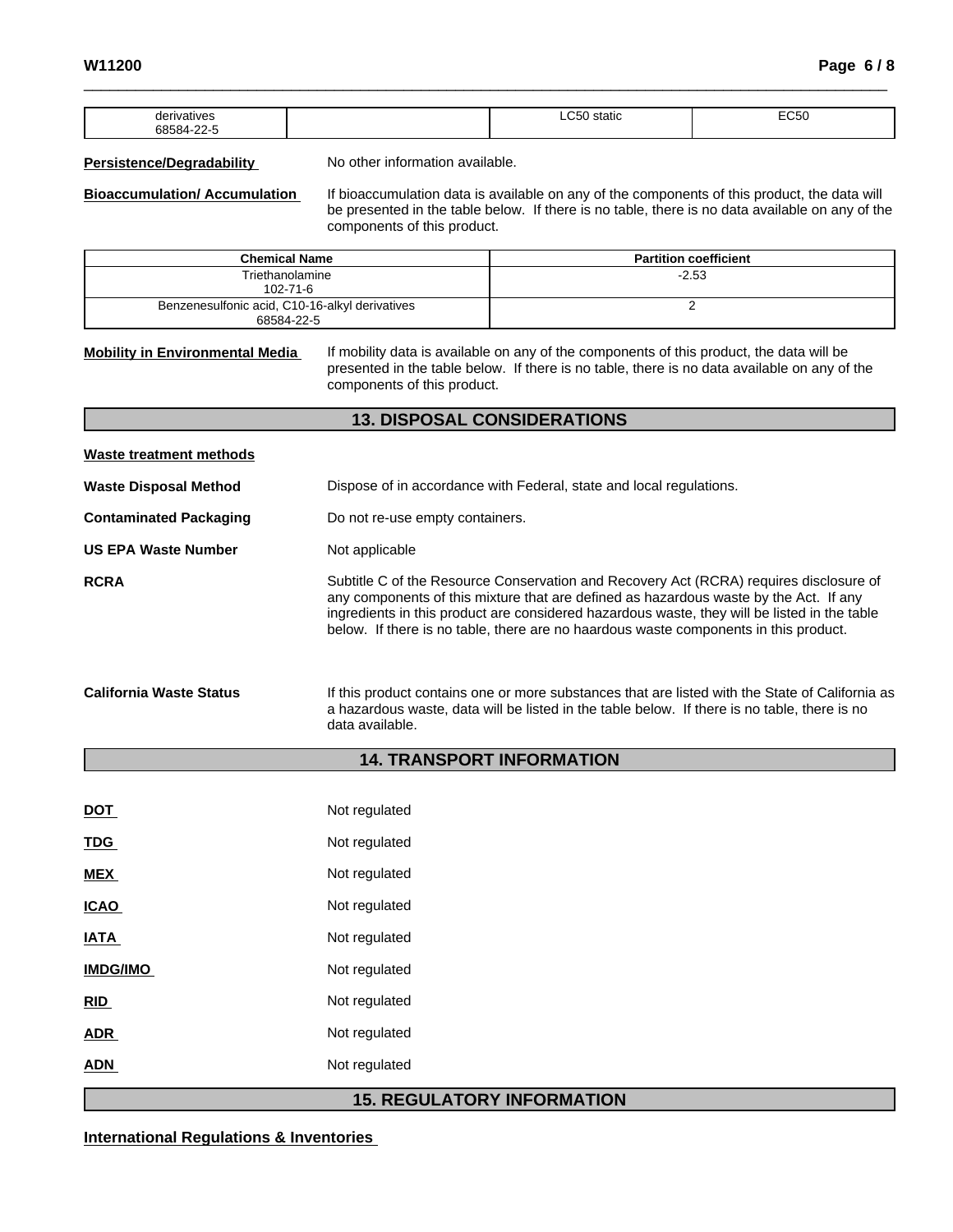| $\sim$ $\sim$ $\sim$ $\sim$ $\sim$ $\sim$ $\sim$ | . | $-$<br>⊸ບວ∪<br>. |
|--------------------------------------------------|---|------------------|
| ״                                                |   |                  |

Persistence/Degradability No other information available.

**Bioaccumulation/ Accumulation** If bioaccumulation data is available on any of the components of this product, the data will be presented in the table below. If there is no table, there is no data available on any of the components of this product.

| <b>Chemical Name</b>                                         | <b>Partition coefficient</b> |
|--------------------------------------------------------------|------------------------------|
| Triethanolamine<br>$102 - 71 - 6$                            | $-2.53$                      |
| Benzenesulfonic acid, C10-16-alkyl derivatives<br>68584-22-5 |                              |

**Mobility in Environmental Media** If mobility data is available on any of the components of this product, the data will be presented in the table below. If there is no table, there is no data available on any of the components of this product.

# **13. DISPOSAL CONSIDERATIONS**

| Waste treatment methods        |                                                                                                                                                                                                                                                                                                                                                                         |
|--------------------------------|-------------------------------------------------------------------------------------------------------------------------------------------------------------------------------------------------------------------------------------------------------------------------------------------------------------------------------------------------------------------------|
| <b>Waste Disposal Method</b>   | Dispose of in accordance with Federal, state and local regulations.                                                                                                                                                                                                                                                                                                     |
| <b>Contaminated Packaging</b>  | Do not re-use empty containers.                                                                                                                                                                                                                                                                                                                                         |
| <b>US EPA Waste Number</b>     | Not applicable                                                                                                                                                                                                                                                                                                                                                          |
| <b>RCRA</b>                    | Subtitle C of the Resource Conservation and Recovery Act (RCRA) requires disclosure of<br>any components of this mixture that are defined as hazardous waste by the Act. If any<br>ingredients in this product are considered hazardous waste, they will be listed in the table<br>below. If there is no table, there are no haardous waste components in this product. |
| <b>California Waste Status</b> | If this product contains one or more substances that are listed with the State of California as<br>a hazardous waste, data will be listed in the table below. If there is no table, there is no                                                                                                                                                                         |

# **14. TRANSPORT INFORMATION**

data available.

|                 | 15 DECIII ATADV INEAD |
|-----------------|-----------------------|
| <b>ADN</b>      | Not regulated         |
| <b>ADR</b>      | Not regulated         |
| <b>RID</b>      | Not regulated         |
| <b>IMDG/IMO</b> | Not regulated         |
| <b>IATA</b>     | Not regulated         |
| <u>ICAO</u>     | Not regulated         |
| <b>MEX</b>      | Not regulated         |
| <b>TDG</b>      | Not regulated         |
| <b>DOT</b>      | Not regulated         |
|                 |                       |

# **15. REGULATORY INFORMATION**

**International Regulations & Inventories**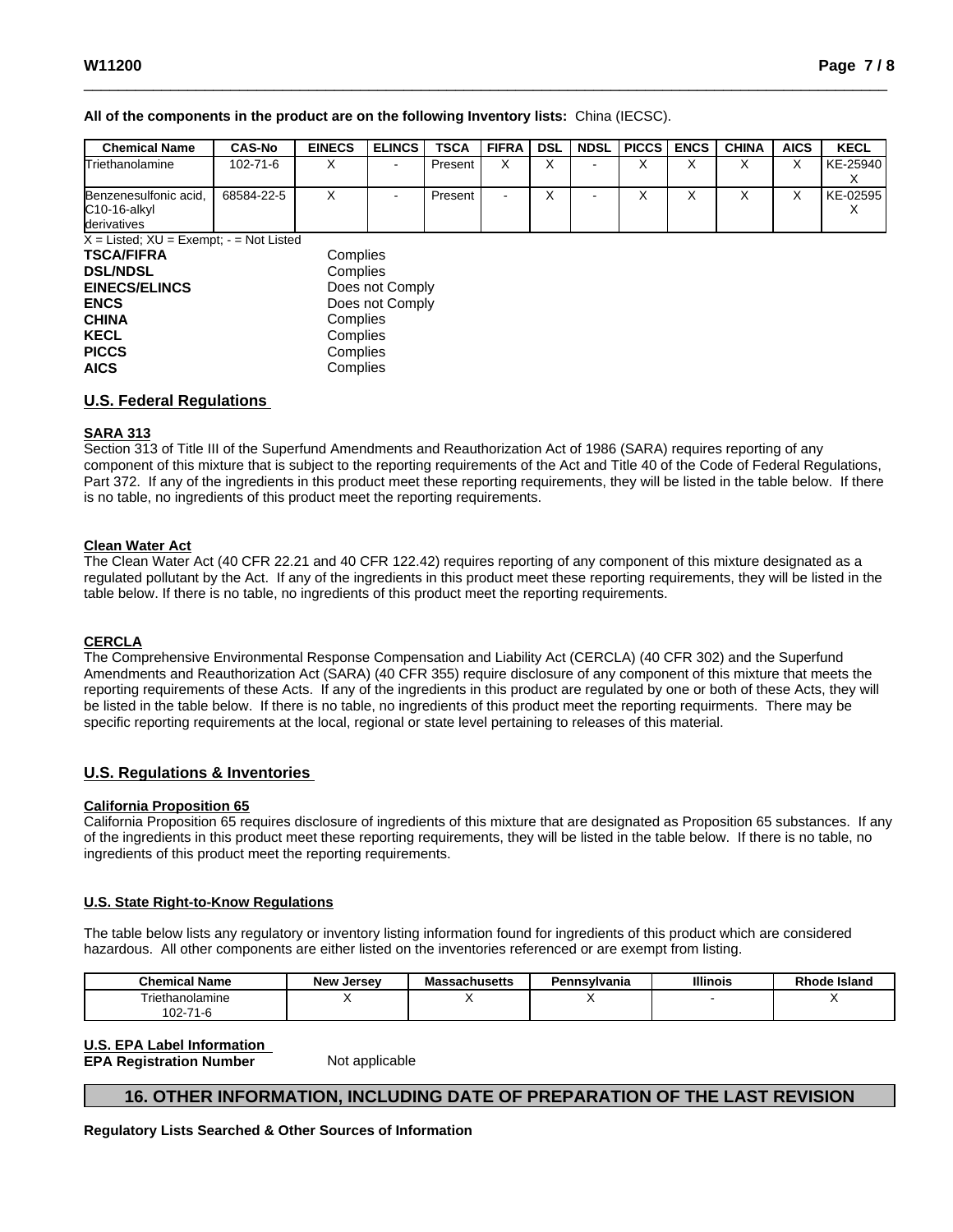**All of the components in the product are on the following Inventory lists:** China (IECSC).

| <b>Chemical Name</b>                                    | <b>CAS-No</b>  | <b>EINECS</b> | <b>ELINCS</b> | TSCA    | <b>FIFRA</b> | DSL | <b>NDSL PICCS LENCS</b> | <b>CHINA</b> | <b>AICS</b>  | <b>KECL</b> |
|---------------------------------------------------------|----------------|---------------|---------------|---------|--------------|-----|-------------------------|--------------|--------------|-------------|
| Triethanolamine                                         | $102 - 71 - 6$ |               |               | Present |              |     |                         |              | $\checkmark$ | KE-25940    |
| Benzenesulfonic acid,<br>$C$ 10-16-alkyl<br>derivatives | 68584-22-5     |               |               | Present |              |     |                         |              |              | KE-02595    |
| $X =$ Listed; $XU =$ Exempt; $-$ = Not Listed           |                |               |               |         |              |     |                         |              |              |             |

| Complies        |  |
|-----------------|--|
| Complies        |  |
| Does not Comply |  |
| Does not Comply |  |
| Complies        |  |
| Complies        |  |
| Complies        |  |
| Complies        |  |
|                 |  |

### **U.S. Federal Regulations**

#### **SARA 313**

Section 313 of Title III of the Superfund Amendments and Reauthorization Act of 1986 (SARA) requires reporting of any component of this mixture that is subject to the reporting requirements of the Act and Title 40 of the Code of Federal Regulations, Part 372. If any of the ingredients in this product meet these reporting requirements, they will be listed in the table below. If there is no table, no ingredients of this product meet the reporting requirements.

#### **Clean Water Act**

The Clean Water Act (40 CFR 22.21 and 40 CFR 122.42) requires reporting of any component of this mixture designated as a regulated pollutant by the Act. If any of the ingredients in this product meet these reporting requirements, they will be listed in the table below. If there is no table, no ingredients of this product meet the reporting requirements.

#### **CERCLA**

The Comprehensive Environmental Response Compensation and Liability Act (CERCLA) (40 CFR 302) and the Superfund Amendments and Reauthorization Act (SARA) (40 CFR 355) require disclosure of any component of this mixture that meets the reporting requirements of these Acts. If any of the ingredients in this product are regulated by one or both of these Acts, they will be listed in the table below. If there is no table, no ingredients of this product meet the reporting requirments. There may be specific reporting requirements at the local, regional or state level pertaining to releases of this material.

#### **U.S. Regulations & Inventories**

#### **California Proposition 65**

California Proposition 65 requires disclosure of ingredients of this mixture that are designated as Proposition 65 substances. If any of the ingredients in this product meet these reporting requirements, they will be listed in the table below. If there is no table, no ingredients of this product meet the reporting requirements.

#### **U.S. State Right-to-Know Regulations**

The table below lists any regulatory or inventory listing information found for ingredients of this product which are considered hazardous. All other components are either listed on the inventories referenced or are exempt from listing.

| .<br><b>Chemical Name</b>                  | . Jersev<br>New | <b>Massachusetts</b> | Pennsvlvania | <b>Illinois</b> | <br>⊧ Island |  |  |
|--------------------------------------------|-----------------|----------------------|--------------|-----------------|--------------|--|--|
| Triethanolamine<br>$02 - i$<br>$\sim$<br>◡ |                 |                      |              |                 |              |  |  |

**U.S. EPA Label Information** 

**EPA Registration Number** Not applicable

# **16. OTHER INFORMATION, INCLUDING DATE OF PREPARATION OF THE LAST REVISION**

**Regulatory Lists Searched & Other Sources of Information**